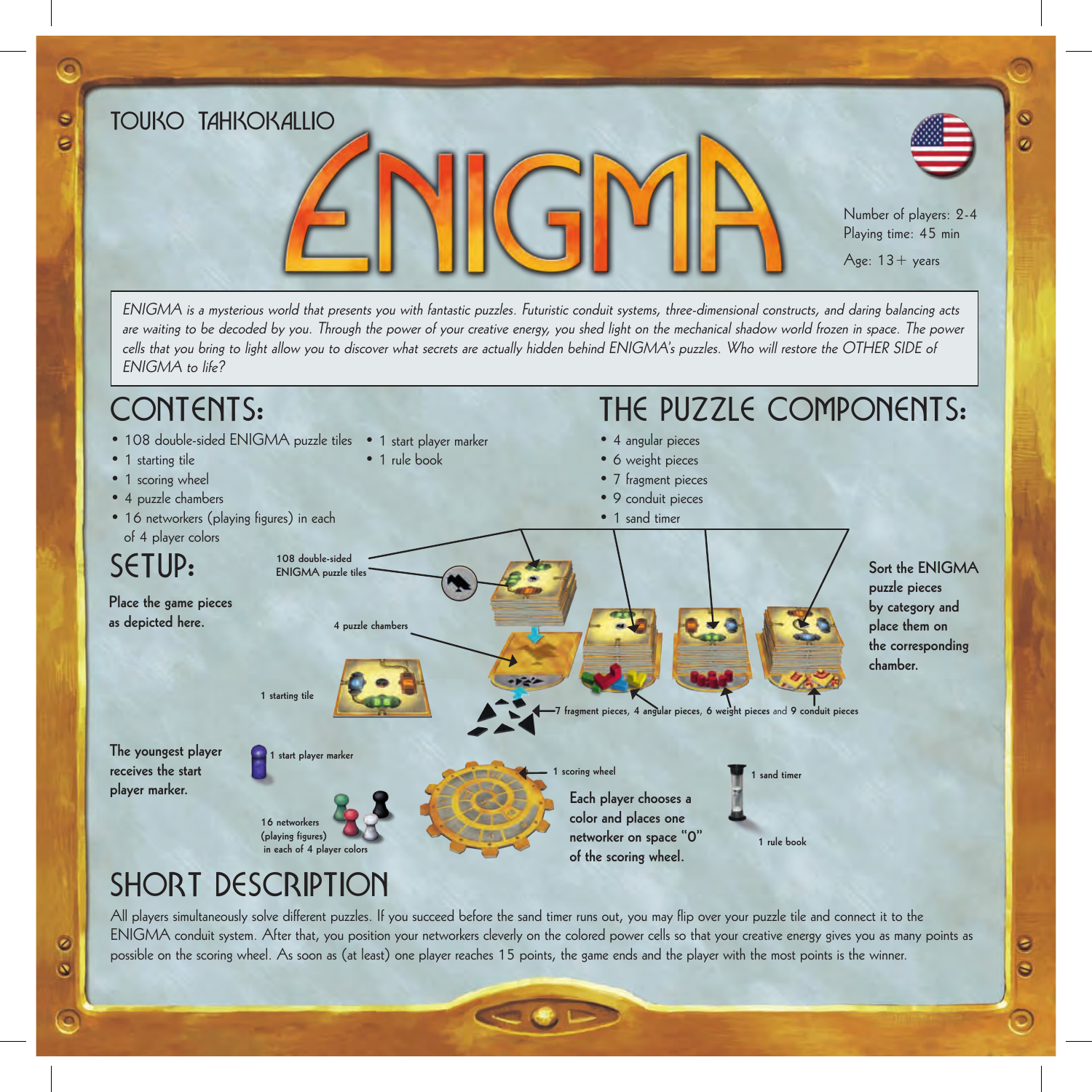TOUKO TAHKOKALLIO Number of players: 2-4 Playing time: 45 min Age:  $13 + \gamma$ ears ENIGMA is a mysterious world that presents you with fantastic puzzles. Futuristic conduit systems, three-dimensional constructs, and daring balancing acts are waiting to be decoded by you. Through the power of your creative energy, you shed light on the mechanical shadow world frozen in space. The power

 $\overline{\mathbf{o}}$ 

ø

 $\bullet$ 

Θ

 $\circ$ 

cells that you bring to light allow you to discover what secrets are actually hidden behind ENIGMA's puzzles. Who will restore the OTHER SIDE of ENIGMA to life?

#### **1 starting tile** • 108 double-sided ENIGMA puzzle tiles • 1 start player marker • 1 starting tile • 1 scoring wheel • 4 puzzle chambers • 16 networkers (playing figures) in each of 4 player colors **Place the game pieces as depicted here. The youngest player receives the start player marker. Each player chooses a color and places one networker on space "0" of the scoring wheel. Sort the ENIGMA puzzle pieces by category and place them on the corresponding chamber.** • 4 angular pieces • 6 weight pieces • 7 fragment pieces • 9 conduit pieces • 1 sand timer **108 double-sided ENIGMA** puzzle tile **7 fragment pieces**, **4 angular pieces**, **6 weight pieces** and **9 conduit pieces 16 networkers (playing figures)**  in each of 4 player col **1 scoring wheel 1 start player marker** sand timer **1 rule book** CONTENTS: Setup: The Puzzle Components: **4 puzzle chambers** • 1 rule book

# Short Description

All players simultaneously solve different puzzles. If you succeed before the sand timer runs out, you may flip over your puzzle tile and connect it to the ENIGMA conduit system. After that, you position your networkers cleverly on the colored power cells so that your creative energy gives you as many points as possible on the scoring wheel. As soon as (at least) one player reaches 15 points, the game ends and the player with the most points is the winner.

 $\circ$ 

 $\bullet$ 

ä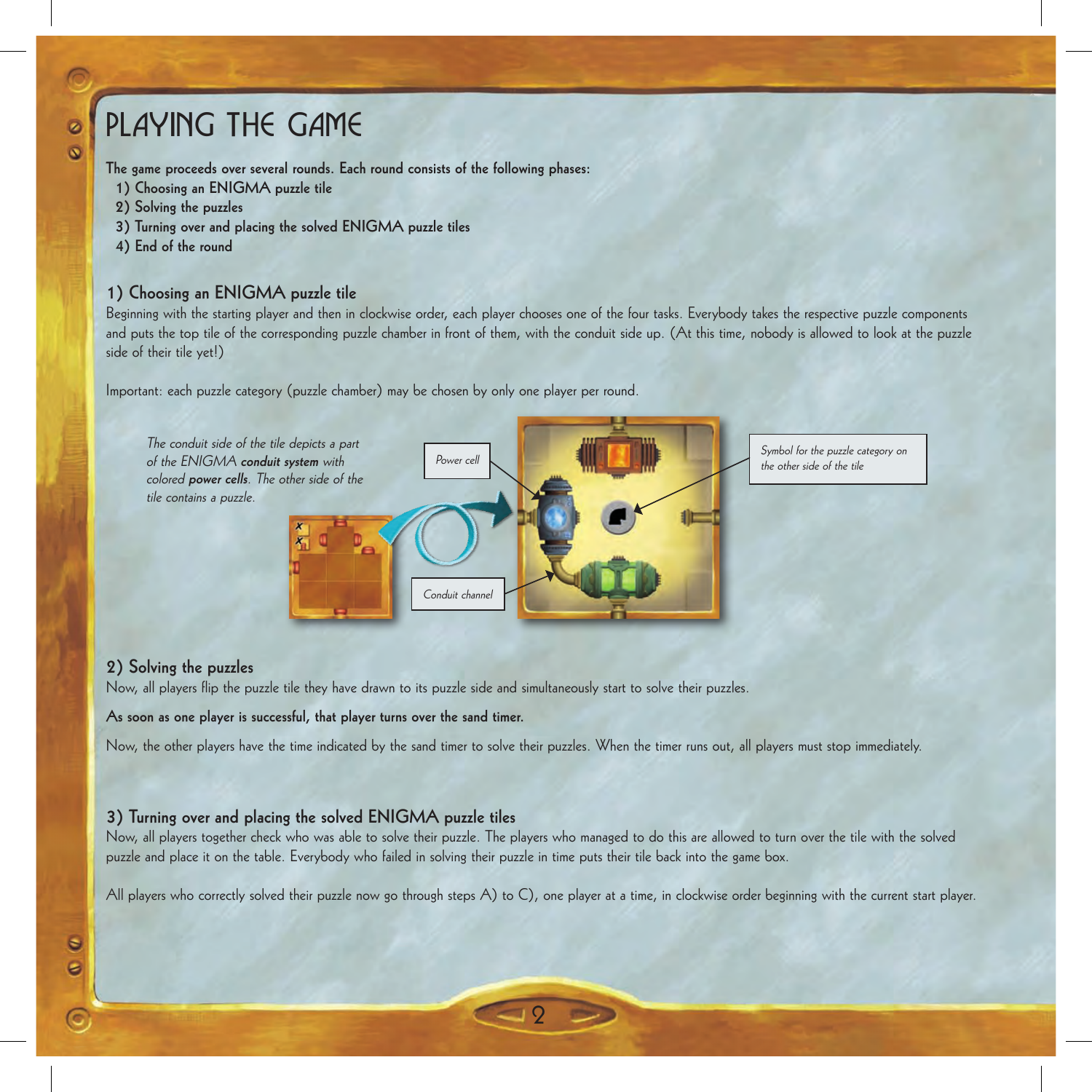# Playing the game

**The game proceeds over several rounds. Each round consists of the following phases:**

- **1) Choosing an ENIGMA puzzle tile**
- **2) Solving the puzzles**

 $\overline{\Omega}$ 

- **3) Turning over and placing the solved ENIGMA puzzle tiles**
- **4) End of the round**

# **1) Choosing an ENIGMA puzzle tile**

Beginning with the starting player and then in clockwise order, each player chooses one of the four tasks. Everybody takes the respective puzzle components and puts the top tile of the corresponding puzzle chamber in front of them, with the conduit side up. (At this time, nobody is allowed to look at the puzzle side of their tile yet!)

Important: each puzzle category (puzzle chamber) may be chosen by only one player per round.



# **2) Solving the puzzles**

Now, all players flip the puzzle tile they have drawn to its puzzle side and simultaneously start to solve their puzzles.

**As soon as one player is successful, that player turns over the sand timer.**

Now, the other players have the time indicated by the sand timer to solve their puzzles. When the timer runs out, all players must stop immediately.

# **3) Turning over and placing the solved ENIGMA puzzle tiles**

Now, all players together check who was able to solve their puzzle. The players who managed to do this are allowed to turn over the tile with the solved puzzle and place it on the table. Everybody who failed in solving their puzzle in time puts their tile back into the game box.

All players who correctly solved their puzzle now go through steps A) to C), one player at a time, in clockwise order beginning with the current start player.

 $\overline{Q}$ 

 $\bullet$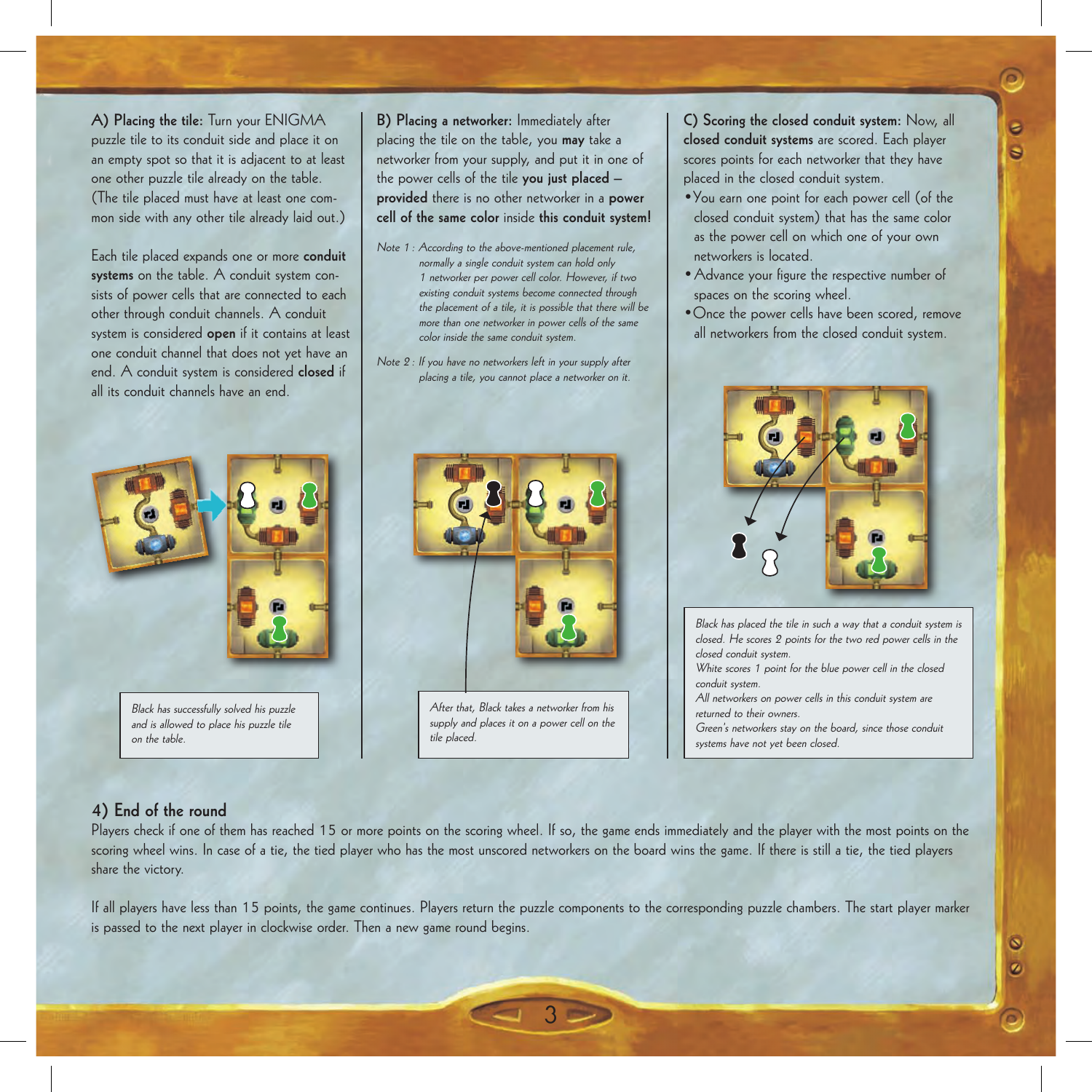**A) Placing the tile:** Turn your ENIGMA puzzle tile to its conduit side and place it on an empty spot so that it is adjacent to at least one other puzzle tile already on the table. (The tile placed must have at least one common side with any other tile already laid out.)

Each tile placed expands one or more **conduit systems** on the table. A conduit system consists of power cells that are connected to each other through conduit channels. A conduit system is considered **open** if it contains at least one conduit channel that does not yet have an end. A conduit system is considered **closed** if all its conduit channels have an end.



Black has successfully solved his puzzle and is allowed to place his puzzle tile on the table.

**B) Placing a networker:** Immediately after placing the tile on the table, you **may** take a networker from your supply, and put it in one of the power cells of the tile **you just placed – provided** there is no other networker in a **power cell of the same color** inside **this conduit system!**

- Note 1: According to the above-mentioned placement rule, normally a single conduit system can hold only 1 networker per power cell color. However, if two existing conduit systems become connected through the placement of a tile, it is possible that there will be more than one networker in power cells of the same color inside the same conduit system.
- Note 2: If you have no networkers left in your supply after placing a tile, you cannot place a networker on it.

After that, Black takes a networker from his supply and places it on a power cell on the tile placed.

**C) Scoring the closed conduit system:** Now, all **closed conduit systems** are scored. Each player scores points for each networker that they have placed in the closed conduit system.

 $\bullet$ Ġ

 $\bullet$ ø

- •You earn one point for each power cell (of the closed conduit system) that has the same color as the power cell on which one of your own networkers is located.
- •Advance your figure the respective number of spaces on the scoring wheel.
- •Once the power cells have been scored, remove all networkers from the closed conduit system.



Black has placed the tile in such a way that a conduit system is closed. He scores 2 points for the two red power cells in the closed conduit system. White scores 1 point for the blue power cell in the closed conduit system.

All networkers on power cells in this conduit system are returned to their owners. Green's networkers stay on the board, since those conduit

systems have not yet been closed.

# **4) End of the round**

Players check if one of them has reached 15 or more points on the scoring wheel. If so, the game ends immediately and the player with the most points on the scoring wheel wins. In case of a tie, the tied player who has the most unscored networkers on the board wins the game. If there is still a tie, the tied players share the victory.

If all players have less than 15 points, the game continues. Players return the puzzle components to the corresponding puzzle chambers. The start player marker is passed to the next player in clockwise order. Then a new game round begins.

3